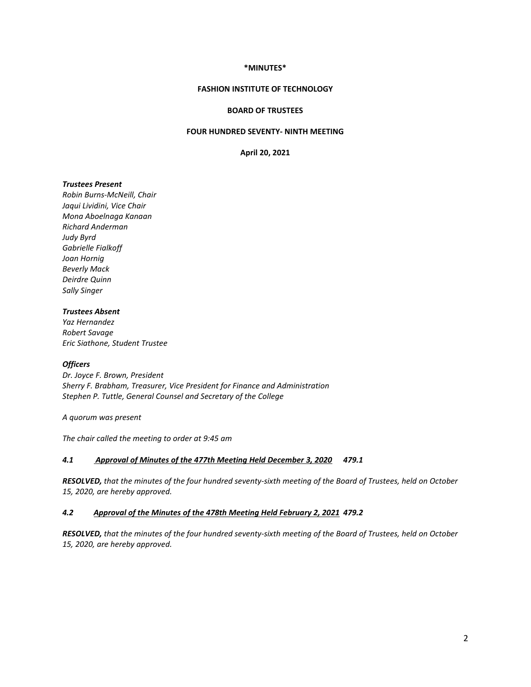# **\*MINUTES\***

# **FASHION INSTITUTE OF TECHNOLOGY**

# **BOARD OF TRUSTEES**

# **FOUR HUNDRED SEVENTY- NINTH MEETING**

**April 20, 2021**

# *Trustees Present*

*Robin Burns-McNeill, Chair Jaqui Lividini, Vice Chair Mona Aboelnaga Kanaan Richard Anderman Judy Byrd Gabrielle Fialkoff Joan Hornig Beverly Mack Deirdre Quinn Sally Singer*

# *Trustees Absent*

*Yaz Hernandez Robert Savage Eric Siathone, Student Trustee*

## *Officers*

*Dr. Joyce F. Brown, President Sherry F. Brabham, Treasurer, Vice President for Finance and Administration Stephen P. Tuttle, General Counsel and Secretary of the College*

*A quorum was present*

*The chair called the meeting to order at 9:45 am*

# *4.1 Approval of Minutes of the 477th Meeting Held December 3, 2020 479.1*

*RESOLVED, that the minutes of the four hundred seventy-sixth meeting of the Board of Trustees, held on October 15, 2020, are hereby approved.*

## *4.2 Approval of the Minutes of the 478th Meeting Held February 2, 2021 479.2*

*RESOLVED, that the minutes of the four hundred seventy-sixth meeting of the Board of Trustees, held on October 15, 2020, are hereby approved.*